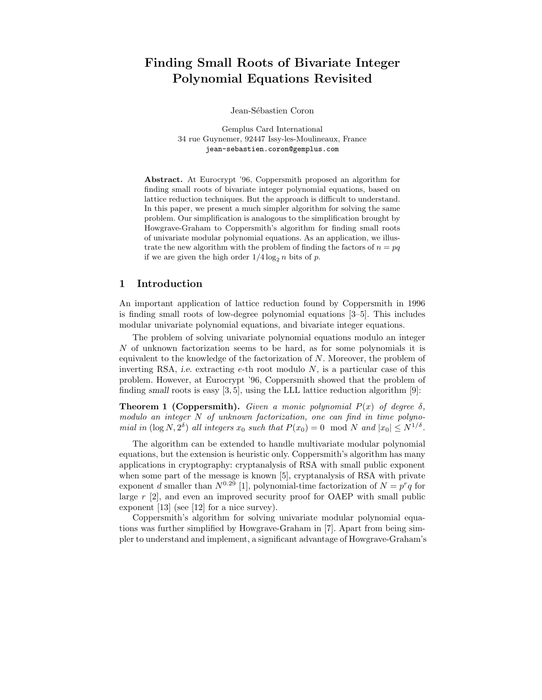# Finding Small Roots of Bivariate Integer Polynomial Equations Revisited

Jean-Sébastien Coron

Gemplus Card International 34 rue Guynemer, 92447 Issy-les-Moulineaux, France jean-sebastien.coron@gemplus.com

Abstract. At Eurocrypt '96, Coppersmith proposed an algorithm for finding small roots of bivariate integer polynomial equations, based on lattice reduction techniques. But the approach is difficult to understand. In this paper, we present a much simpler algorithm for solving the same problem. Our simplification is analogous to the simplification brought by Howgrave-Graham to Coppersmith's algorithm for finding small roots of univariate modular polynomial equations. As an application, we illustrate the new algorithm with the problem of finding the factors of  $n = pq$ if we are given the high order  $1/4 \log_2 n$  bits of p.

#### 1 Introduction

An important application of lattice reduction found by Coppersmith in 1996 is finding small roots of low-degree polynomial equations [3–5]. This includes modular univariate polynomial equations, and bivariate integer equations.

The problem of solving univariate polynomial equations modulo an integer N of unknown factorization seems to be hard, as for some polynomials it is equivalent to the knowledge of the factorization of N. Moreover, the problem of inverting RSA, *i.e.* extracting  $e$ -th root modulo  $N$ , is a particular case of this problem. However, at Eurocrypt '96, Coppersmith showed that the problem of finding small roots is easy  $[3, 5]$ , using the LLL lattice reduction algorithm  $[9]$ :

**Theorem 1 (Coppersmith).** Given a monic polynomial  $P(x)$  of degree  $\delta$ , modulo an integer N of unknown factorization, one can find in time polynomial in  $(\log N, 2^{\delta})$  all integers  $x_0$  such that  $P(x_0) = 0 \mod N$  and  $|x_0| \le N^{1/\delta}$ .

The algorithm can be extended to handle multivariate modular polynomial equations, but the extension is heuristic only. Coppersmith's algorithm has many applications in cryptography: cryptanalysis of RSA with small public exponent when some part of the message is known [5], cryptanalysis of RSA with private exponent d smaller than  $N^{0.29}$  [1], polynomial-time factorization of  $N = p^r q$  for large  $r$  [2], and even an improved security proof for OAEP with small public exponent [13] (see [12] for a nice survey).

Coppersmith's algorithm for solving univariate modular polynomial equations was further simplified by Howgrave-Graham in [7]. Apart from being simpler to understand and implement, a significant advantage of Howgrave-Graham's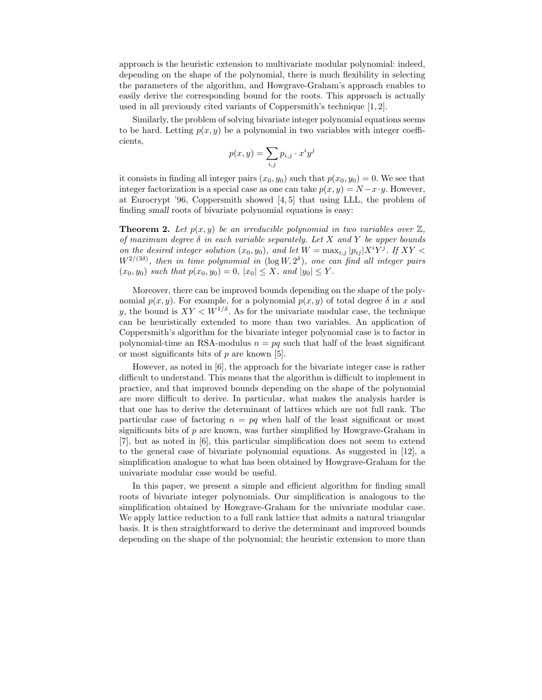approach is the heuristic extension to multivariate modular polynomial: indeed, depending on the shape of the polynomial, there is much flexibility in selecting the parameters of the algorithm, and Howgrave-Graham's approach enables to easily derive the corresponding bound for the roots. This approach is actually used in all previously cited variants of Coppersmith's technique [1, 2].

Similarly, the problem of solving bivariate integer polynomial equations seems to be hard. Letting  $p(x, y)$  be a polynomial in two variables with integer coefficients,

$$
p(x,y) = \sum_{i,j} p_{i,j} \cdot x^i y^j
$$

it consists in finding all integer pairs  $(x_0, y_0)$  such that  $p(x_0, y_0) = 0$ . We see that integer factorization is a special case as one can take  $p(x, y) = N - x \cdot y$ . However, at Eurocrypt '96, Coppersmith showed [4, 5] that using LLL, the problem of finding small roots of bivariate polynomial equations is easy:

**Theorem 2.** Let  $p(x, y)$  be an irreducible polynomial in two variables over  $\mathbb{Z}$ , of maximum degree  $\delta$  in each variable separately. Let X and Y be upper bounds on the desired integer solution  $(x_0, y_0)$ , and let  $W = \max_{i,j} |p_{ij}| X^i Y^j$ . If  $XY <$  $W^{2/(3\delta)}$ , then in time polynomial in  $(\log W, 2^{\delta})$ , one can find all integer pairs  $(x_0, y_0)$  such that  $p(x_0, y_0) = 0$ ,  $|x_0| \leq X$ , and  $|y_0| \leq Y$ .

Moreover, there can be improved bounds depending on the shape of the polynomial  $p(x, y)$ . For example, for a polynomial  $p(x, y)$  of total degree  $\delta$  in x and y, the bound is  $XY < W^{1/\delta}$ . As for the univariate modular case, the technique can be heuristically extended to more than two variables. An application of Coppersmith's algorithm for the bivariate integer polynomial case is to factor in polynomial-time an RSA-modulus  $n = pq$  such that half of the least significant or most significants bits of  $p$  are known [5].

However, as noted in [6], the approach for the bivariate integer case is rather difficult to understand. This means that the algorithm is difficult to implement in practice, and that improved bounds depending on the shape of the polynomial are more difficult to derive. In particular, what makes the analysis harder is that one has to derive the determinant of lattices which are not full rank. The particular case of factoring  $n = pq$  when half of the least significant or most significants bits of  $p$  are known, was further simplified by Howgrave-Graham in [7], but as noted in [6], this particular simplification does not seem to extend to the general case of bivariate polynomial equations. As suggested in [12], a simplification analogue to what has been obtained by Howgrave-Graham for the univariate modular case would be useful.

In this paper, we present a simple and efficient algorithm for finding small roots of bivariate integer polynomials. Our simplification is analogous to the simplification obtained by Howgrave-Graham for the univariate modular case. We apply lattice reduction to a full rank lattice that admits a natural triangular basis. It is then straightforward to derive the determinant and improved bounds depending on the shape of the polynomial; the heuristic extension to more than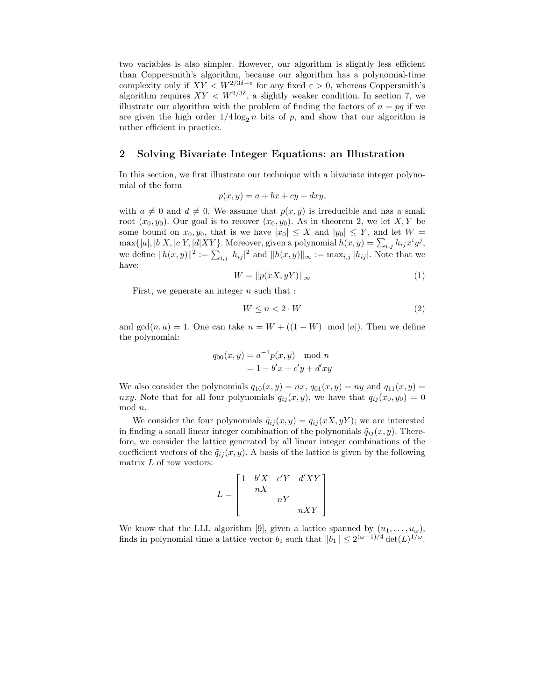two variables is also simpler. However, our algorithm is slightly less efficient than Coppersmith's algorithm, because our algorithm has a polynomial-time complexity only if  $XY < W^{2/3\delta - \varepsilon}$  for any fixed  $\varepsilon > 0$ , whereas Coppersmith's algorithm requires  $XY < W^{2/3\delta}$ , a slightly weaker condition. In section 7, we illustrate our algorithm with the problem of finding the factors of  $n = pq$  if we are given the high order  $1/4 \log_2 n$  bits of p, and show that our algorithm is rather efficient in practice.

#### 2 Solving Bivariate Integer Equations: an Illustration

In this section, we first illustrate our technique with a bivariate integer polynomial of the form

$$
p(x, y) = a + bx + cy + dxy,
$$

with  $a \neq 0$  and  $d \neq 0$ . We assume that  $p(x, y)$  is irreducible and has a small root  $(x_0, y_0)$ . Our goal is to recover  $(x_0, y_0)$ . As in theorem 2, we let X, Y be some bound on  $x_0, y_0$ , that is we have  $|x_0| \leq X$  and  $|y_0| \leq Y$ , and let  $W =$  $\max\{|a|, |b|X, |c|Y, |d|XY\}$ . Moreover, given a polynomial  $h(x, y) = \sum_{i,j} h_{ij} x^i y^j$ , we define  $||h(x,y)||^2 := \sum_{i,j} |h_{ij}|^2$  and  $||h(x,y)||_{\infty} := \max_{i,j} |h_{ij}|$ . Note that we have:

$$
W = \|p(xX, yY)\|_{\infty} \tag{1}
$$

First, we generate an integer  $n$  such that :

$$
W \le n < 2 \cdot W \tag{2}
$$

and  $gcd(n, a) = 1$ . One can take  $n = W + ((1 - W) \mod |a|)$ . Then we define the polynomial:

$$
q_{00}(x, y) = a^{-1}p(x, y) \mod n
$$
  
= 1 + b'x + c'y + d'xy

We also consider the polynomials  $q_{10}(x, y) = nx$ ,  $q_{01}(x, y) = ny$  and  $q_{11}(x, y) =$ nxy. Note that for all four polynomials  $q_{ij}(x, y)$ , we have that  $q_{ij}(x_0, y_0) = 0$ mod n.

We consider the four polynomials  $\tilde{q}_{ij}(x, y) = q_{ij}(xX, yY)$ ; we are interested in finding a small linear integer combination of the polynomials  $\tilde{q}_{ij}(x, y)$ . Therefore, we consider the lattice generated by all linear integer combinations of the coefficient vectors of the  $\tilde{q}_{ij}(x, y)$ . A basis of the lattice is given by the following matrix  $L$  of row vectors:

$$
L = \begin{bmatrix} 1 & b'X & c'Y & d'XY \\ & nX & & \\ & & nY & \\ & & & nXY \end{bmatrix}
$$

We know that the LLL algorithm [9], given a lattice spanned by  $(u_1, \ldots, u_\omega)$ , finds in polynomial time a lattice vector  $b_1$  such that  $||b_1|| \leq 2^{(\omega-1)/4} \det(L)^{1/\omega}$ .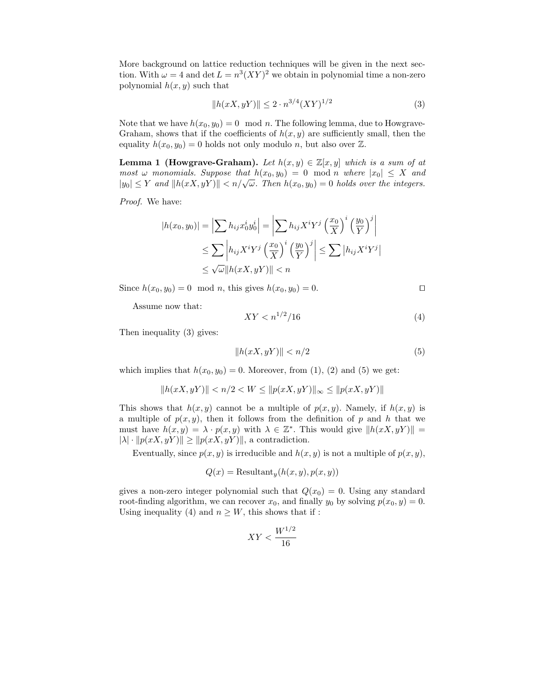More background on lattice reduction techniques will be given in the next section. With  $\omega = 4$  and  $\det L = n^3 (XY)^2$  we obtain in polynomial time a non-zero polynomial  $h(x, y)$  such that

$$
||h(xX, yY)|| \le 2 \cdot n^{3/4} (XY)^{1/2}
$$
 (3)

Note that we have  $h(x_0, y_0) = 0 \mod n$ . The following lemma, due to Howgrave-Graham, shows that if the coefficients of  $h(x, y)$  are sufficiently small, then the equality  $h(x_0, y_0) = 0$  holds not only modulo n, but also over  $\mathbb{Z}$ .

**Lemma 1 (Howgrave-Graham).** Let  $h(x, y) \in \mathbb{Z}[x, y]$  which is a sum of at most  $\omega$  monomials. Suppose that  $h(x_0, y_0) = 0 \text{ mod } n$  where  $|x_0| \leq X$  and  $|y_0| \leq Y$  and  $||h(xX, yY)|| < n/\sqrt{\omega}$ . Then  $h(x_0, y_0) = 0$  holds over the integers.

Proof. We have:

$$
|h(x_0, y_0)| = \left| \sum h_{ij} x_0^i y_0^i \right| = \left| \sum h_{ij} X^i Y^j \left( \frac{x_0}{X} \right)^i \left( \frac{y_0}{Y} \right)^j \right|
$$
  
\n
$$
\leq \sum \left| h_{ij} X^i Y^j \left( \frac{x_0}{X} \right)^i \left( \frac{y_0}{Y} \right)^j \right| \leq \sum |h_{ij} X^i Y^j|
$$
  
\n
$$
\leq \sqrt{\omega} ||h(xX, yY)|| < n
$$

Since  $h(x_0, y_0) = 0 \mod n$ , this gives  $h(x_0, y_0) = 0$ . □

Assume now that:

$$
XY < n^{1/2}/16\tag{4}
$$

Then inequality (3) gives:

$$
||h(xX, yY)|| < n/2
$$
\n<sup>(5)</sup>

which implies that  $h(x_0, y_0) = 0$ . Moreover, from (1), (2) and (5) we get:

$$
||h(xX, yY)|| < n/2 < W \le ||p(xX, yY)||_{\infty} \le ||p(xX, yY)||
$$

This shows that  $h(x, y)$  cannot be a multiple of  $p(x, y)$ . Namely, if  $h(x, y)$  is a multiple of  $p(x, y)$ , then it follows from the definition of p and h that we must have  $h(x, y) = \lambda \cdot p(x, y)$  with  $\lambda \in \mathbb{Z}^*$ . This would give  $||h(xX, yY)|| =$  $|\lambda| \cdot ||p(xX, yY)|| \ge ||p(xX, yY)||$ , a contradiction.

Eventually, since  $p(x, y)$  is irreducible and  $h(x, y)$  is not a multiple of  $p(x, y)$ ,

$$
Q(x) = \text{Resultant}_y(h(x, y), p(x, y))
$$

gives a non-zero integer polynomial such that  $Q(x_0) = 0$ . Using any standard root-finding algorithm, we can recover  $x_0$ , and finally  $y_0$  by solving  $p(x_0, y) = 0$ . Using inequality (4) and  $n \geq W$ , this shows that if :

$$
XY < \frac{W^{1/2}}{16}
$$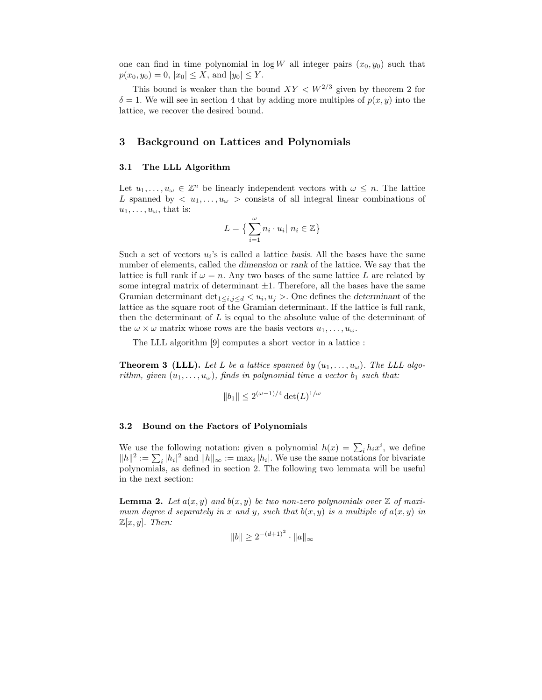one can find in time polynomial in  $\log W$  all integer pairs  $(x_0, y_0)$  such that  $p(x_0, y_0) = 0, |x_0| \leq X$ , and  $|y_0| \leq Y$ .

This bound is weaker than the bound  $XY < W^{2/3}$  given by theorem 2 for  $\delta = 1$ . We will see in section 4 that by adding more multiples of  $p(x, y)$  into the lattice, we recover the desired bound.

## 3 Background on Lattices and Polynomials

#### 3.1 The LLL Algorithm

Let  $u_1, \ldots, u_\omega \in \mathbb{Z}^n$  be linearly independent vectors with  $\omega \leq n$ . The lattice L spanned by  $\langle u_1, \ldots, u_{\omega} \rangle$  consists of all integral linear combinations of  $u_1, \ldots, u_\omega$ , that is:

$$
L = \left\{ \sum_{i=1}^{\omega} n_i \cdot u_i \middle| \ n_i \in \mathbb{Z} \right\}
$$

Such a set of vectors  $u_i$ 's is called a lattice basis. All the bases have the same number of elements, called the dimension or rank of the lattice. We say that the lattice is full rank if  $\omega = n$ . Any two bases of the same lattice L are related by some integral matrix of determinant  $\pm 1$ . Therefore, all the bases have the same Gramian determinant  $\det_{1 \leq i,j \leq d} \langle u_i, u_j \rangle$ . One defines the *determinant* of the lattice as the square root of the Gramian determinant. If the lattice is full rank, then the determinant of  $L$  is equal to the absolute value of the determinant of the  $\omega \times \omega$  matrix whose rows are the basis vectors  $u_1, \ldots, u_\omega$ .

The LLL algorithm [9] computes a short vector in a lattice :

**Theorem 3 (LLL).** Let L be a lattice spanned by  $(u_1, \ldots, u_{\omega})$ . The LLL algorithm, given  $(u_1, \ldots, u_{\omega})$ , finds in polynomial time a vector  $b_1$  such that:

$$
||b_1|| \le 2^{(\omega - 1)/4} \det(L)^{1/\omega}
$$

#### 3.2 Bound on the Factors of Polynomials

We use the following notation: given a polynomial  $h(x) = \sum_i h_i x^i$ , we define  $||h||^2 := \sum_i |h_i|^2$  and  $||h||_{\infty} := \max_i |h_i|$ . We use the same notations for bivariate polynomials, as defined in section 2. The following two lemmata will be useful in the next section:

**Lemma 2.** Let  $a(x, y)$  and  $b(x, y)$  be two non-zero polynomials over  $\mathbb{Z}$  of maximum degree d separately in x and y, such that  $b(x, y)$  is a multiple of  $a(x, y)$  in  $\mathbb{Z}[x, y]$ . Then:

$$
||b|| \ge 2^{-(d+1)^2} \cdot ||a||_{\infty}
$$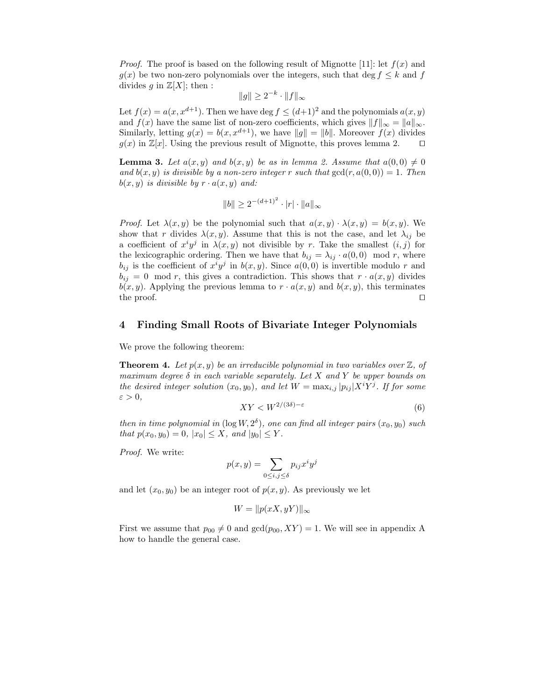*Proof.* The proof is based on the following result of Mignotte [11]: let  $f(x)$  and  $q(x)$  be two non-zero polynomials over the integers, such that deg  $f \leq k$  and f divides g in  $\mathbb{Z}[X]$ ; then :

$$
||g|| \ge 2^{-k} \cdot ||f||_{\infty}
$$

Let  $f(x) = a(x, x^{d+1})$ . Then we have deg  $f \leq (d+1)^2$  and the polynomials  $a(x, y)$ and  $f(x)$  have the same list of non-zero coefficients, which gives  $||f||_{\infty} = ||a||_{\infty}$ . Similarly, letting  $g(x) = b(x, x^{d+1})$ , we have  $||g|| = ||b||$ . Moreover  $f(x)$  divides  $g(x)$  in  $\mathbb{Z}[x]$ . Using the previous result of Mignotte, this proves lemma 2.  $g(x)$  in  $\mathbb{Z}[x]$ . Using the previous result of Mignotte, this proves lemma 2.

**Lemma 3.** Let  $a(x, y)$  and  $b(x, y)$  be as in lemma 2. Assume that  $a(0, 0) \neq 0$ and  $b(x, y)$  is divisible by a non-zero integer r such that  $gcd(r, a(0, 0)) = 1$ . Then  $b(x, y)$  is divisible by  $r \cdot a(x, y)$  and:

$$
||b|| \ge 2^{-(d+1)^2} \cdot |r| \cdot ||a||_{\infty}
$$

*Proof.* Let  $\lambda(x, y)$  be the polynomial such that  $a(x, y) \cdot \lambda(x, y) = b(x, y)$ . We show that r divides  $\lambda(x, y)$ . Assume that this is not the case, and let  $\lambda_{ij}$  be a coefficient of  $x^i y^j$  in  $\lambda(x, y)$  not divisible by r. Take the smallest  $(i, j)$  for the lexicographic ordering. Then we have that  $b_{ij} = \lambda_{ij} \cdot a(0,0) \mod r$ , where  $b_{ij}$  is the coefficient of  $x^i y^j$  in  $b(x, y)$ . Since  $a(0, 0)$  is invertible modulo r and  $b_{ij} = 0 \mod r$ , this gives a contradiction. This shows that  $r \cdot a(x, y)$  divides  $b(x, y)$ . Applying the previous lemma to  $r \cdot a(x, y)$  and  $b(x, y)$ , this terminates the proof. the proof. □

## 4 Finding Small Roots of Bivariate Integer Polynomials

We prove the following theorem:

**Theorem 4.** Let  $p(x, y)$  be an irreducible polynomial in two variables over  $\mathbb{Z}$ , of maximum degree  $\delta$  in each variable separately. Let X and Y be upper bounds on the desired integer solution  $(x_0, y_0)$ , and let  $W = \max_{i,j} |p_{ij}| X^i Y^j$ . If for some  $\varepsilon > 0$ ,

$$
XY < W^{2/(3\delta) - \varepsilon} \tag{6}
$$

then in time polynomial in  $(\log W, 2^{\delta})$ , one can find all integer pairs  $(x_0, y_0)$  such that  $p(x_0, y_0) = 0$ ,  $|x_0| \leq X$ , and  $|y_0| \leq Y$ .

Proof. We write:

$$
p(x,y) = \sum_{0 \le i,j \le \delta} p_{ij} x^i y^j
$$

and let  $(x_0, y_0)$  be an integer root of  $p(x, y)$ . As previously we let

$$
W = \|p(xX, yY)\|_{\infty}
$$

First we assume that  $p_{00} \neq 0$  and  $gcd(p_{00}, XY) = 1$ . We will see in appendix A how to handle the general case.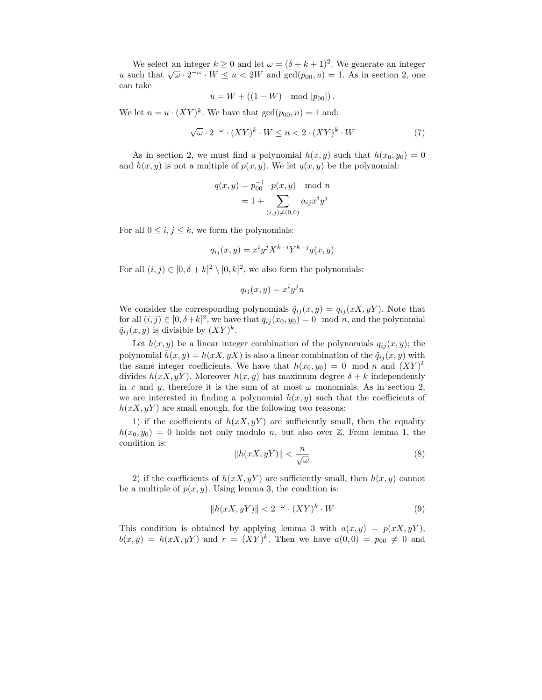We select an integer  $k \ge 0$  and let  $\omega = (\delta + k + 1)^2$ . We generate an integer u such that  $\sqrt{\omega} \cdot 2^{-\omega} \cdot W \le u < 2W$  and  $\gcd(p_{00}, u) = 1$ . As in section 2, one can take

$$
u = W + ((1 - W) \mod |p_{00}|).
$$

We let  $n = u \cdot (XY)^k$ . We have that  $gcd(p_{00}, n) = 1$  and:

$$
\sqrt{\omega} \cdot 2^{-\omega} \cdot (XY)^k \cdot W \le n < 2 \cdot (XY)^k \cdot W \tag{7}
$$

As in section 2, we must find a polynomial  $h(x, y)$  such that  $h(x_0, y_0) = 0$ and  $h(x, y)$  is not a multiple of  $p(x, y)$ . We let  $q(x, y)$  be the polynomial:

$$
q(x, y) = p_{00}^{-1} \cdot p(x, y) \mod n
$$
  
= 1 + 
$$
\sum_{(i,j) \neq (0,0)} a_{ij} x^{i} y^{j}
$$

For all  $0 \leq i, j \leq k$ , we form the polynomials:

$$
q_{ij}(x,y) = x^i y^j X^{k-i} Y^{k-j} q(x,y)
$$

For all  $(i, j) \in [0, \delta + k]^2 \setminus [0, k]^2$ , we also form the polynomials:

$$
q_{ij}(x,y) = x^i y^j n
$$

We consider the corresponding polynomials  $\tilde{q}_{ij}(x, y) = q_{ij}(xX, yY)$ . Note that for all  $(i, j) \in [0, \delta + k]^2$ , we have that  $q_{ij}(x_0, y_0) = 0 \mod n$ , and the polynomial  $\tilde{q}_{ij}(x,y)$  is divisible by  $(XY)^k$ .

Let  $h(x, y)$  be a linear integer combination of the polynomials  $q_{ij}(x, y)$ ; the polynomial  $\tilde{h}(x, y) = h(xX, yX)$  is also a linear combination of the  $\tilde{q}_{ij}(x, y)$  with the same integer coefficients. We have that  $h(x_0, y_0) = 0 \mod n$  and  $(XY)^k$ divides  $h(x, y)$ . Moreover  $h(x, y)$  has maximum degree  $\delta + k$  independently in x and y, therefore it is the sum of at most  $\omega$  monomials. As in section 2, we are interested in finding a polynomial  $h(x, y)$  such that the coefficients of  $h(xX, yY)$  are small enough, for the following two reasons:

1) if the coefficients of  $h(xX, yY)$  are sufficiently small, then the equality  $h(x_0, y_0) = 0$  holds not only modulo n, but also over Z. From lemma 1, the condition is:

$$
||h(xX, yY)|| < \frac{n}{\sqrt{\omega}}\tag{8}
$$

2) if the coefficients of  $h(x, y, y)$  are sufficiently small, then  $h(x, y)$  cannot be a multiple of  $p(x, y)$ . Using lemma 3, the condition is:

$$
||h(xX, yY)|| < 2^{-\omega} \cdot (XY)^k \cdot W
$$
 (9)

This condition is obtained by applying lemma 3 with  $a(x, y) = p(xX, yY)$ ,  $b(x, y) = h(xX, yY)$  and  $r = (XY)^k$ . Then we have  $a(0, 0) = p_{00} \neq 0$  and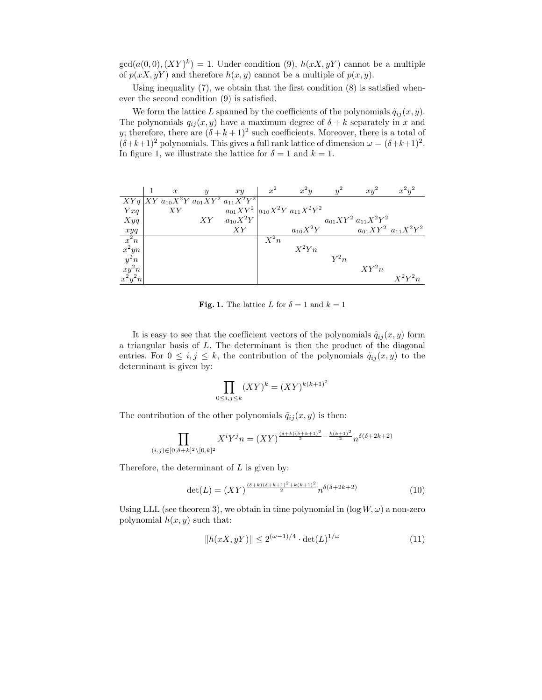$gcd(a(0,0), (XY)^k) = 1.$  Under condition (9),  $h(xX, yY)$  cannot be a multiple of  $p(x, y, y)$  and therefore  $h(x, y)$  cannot be a multiple of  $p(x, y)$ .

Using inequality  $(7)$ , we obtain that the first condition  $(8)$  is satisfied whenever the second condition (9) is satisfied.

We form the lattice L spanned by the coefficients of the polynomials  $\tilde{q}_{ij}(x, y)$ . The polynomials  $q_{ij}(x, y)$  have a maximum degree of  $\delta + k$  separately in x and y; therefore, there are  $(\delta + k + 1)^2$  such coefficients. Moreover, there is a total of  $(\delta + k + 1)^2$  polynomials. This gives a full rank lattice of dimension  $\omega = (\delta + k + 1)^2$ . In figure 1, we illustrate the lattice for  $\delta = 1$  and  $k = 1$ .

|                                             | $\boldsymbol{x}$ | $\boldsymbol{y}$ | xy                                          | $x^2$  | $x^2y$                               | $y^2$  | $xy^2$                    | $x^2y^2$                    |
|---------------------------------------------|------------------|------------------|---------------------------------------------|--------|--------------------------------------|--------|---------------------------|-----------------------------|
|                                             |                  |                  | $XYq XY a_{10}X^2Y a_{01}XY^2 a_{11}X^2Y^2$ |        |                                      |        |                           |                             |
| Yxq                                         | XY               |                  |                                             |        | $a_{01}XY^2 a_{10}X^2Y a_{11}X^2Y^2$ |        |                           |                             |
| X y q                                       |                  |                  | $XY \quad a_{10}X^2Y$                       |        |                                      |        | $a_{01}XY^2 a_{11}X^2Y^2$ |                             |
| xyq                                         |                  |                  | XY                                          |        | $a_{10}X^2Y$                         |        |                           | $a_{01}XY^2$ $a_{11}X^2Y^2$ |
| $x^2n$                                      |                  |                  |                                             | $X^2n$ |                                      |        |                           |                             |
|                                             |                  |                  |                                             |        | $X^2Yn$                              |        |                           |                             |
| $\begin{array}{c} x^2yn\\ y^2n \end{array}$ |                  |                  |                                             |        |                                      | $Y^2n$ |                           |                             |
| $xy^2n$                                     |                  |                  |                                             |        |                                      |        | $XY^2n$                   |                             |
| $x^2y^2n$                                   |                  |                  |                                             |        |                                      |        |                           | $X^2Y^2n$                   |

**Fig. 1.** The lattice L for  $\delta = 1$  and  $k = 1$ 

It is easy to see that the coefficient vectors of the polynomials  $\tilde{q}_{ij}(x, y)$  form a triangular basis of L. The determinant is then the product of the diagonal entries. For  $0 \le i, j \le k$ , the contribution of the polynomials  $\tilde{q}_{ij}(x, y)$  to the determinant is given by:

$$
\prod_{0\leq i,j\leq k}(XY)^k=(XY)^{k(k+1)^2}
$$

The contribution of the other polynomials  $\tilde{q}_{ij}(x, y)$  is then:

$$
\prod_{(i,j)\in[0,\delta+k]^2\setminus[0,k]^2} X^i Y^j n = (XY)^{\frac{(\delta+k)(\delta+k+1)^2}{2} - \frac{k(k+1)^2}{2}} n^{\delta(\delta+2k+2)}
$$

Therefore, the determinant of  $L$  is given by:

$$
\det(L) = (XY)^{\frac{(\delta + k)(\delta + k + 1)^2 + k(k+1)^2}{2}} n^{\delta(\delta + 2k + 2)}
$$
\n(10)

Using LLL (see theorem 3), we obtain in time polynomial in  $(\log W, \omega)$  a non-zero polynomial  $h(x, y)$  such that:

$$
||h(xX, yY)|| \le 2^{(\omega - 1)/4} \cdot \det(L)^{1/\omega}
$$
 (11)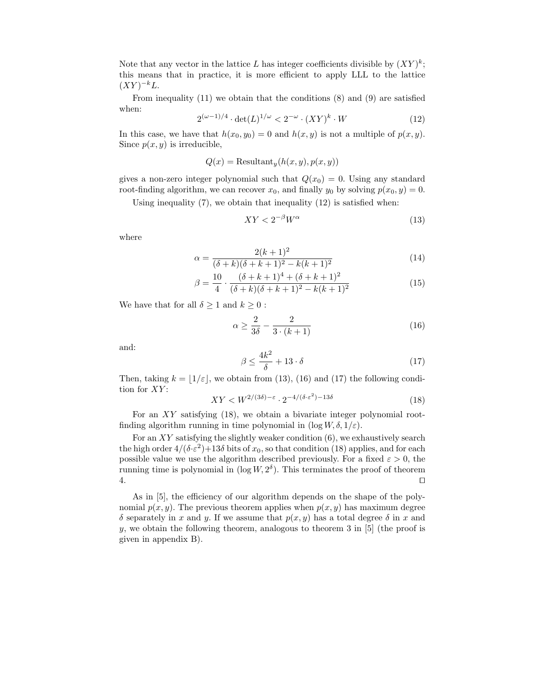Note that any vector in the lattice L has integer coefficients divisible by  $(XY)^k$ ; this means that in practice, it is more efficient to apply LLL to the lattice  $(XY)^{-k}L$ .

From inequality  $(11)$  we obtain that the conditions  $(8)$  and  $(9)$  are satisfied when:

$$
2^{(\omega - 1)/4} \cdot \det(L)^{1/\omega} < 2^{-\omega} \cdot (XY)^k \cdot W \tag{12}
$$

In this case, we have that  $h(x_0, y_0) = 0$  and  $h(x, y)$  is not a multiple of  $p(x, y)$ . Since  $p(x, y)$  is irreducible,

$$
Q(x) = \text{Resultant}_y(h(x, y), p(x, y))
$$

gives a non-zero integer polynomial such that  $Q(x_0) = 0$ . Using any standard root-finding algorithm, we can recover  $x_0$ , and finally  $y_0$  by solving  $p(x_0, y) = 0$ .

Using inequality  $(7)$ , we obtain that inequality  $(12)$  is satisfied when:

$$
XY < 2^{-\beta}W^{\alpha} \tag{13}
$$

where

$$
\alpha = \frac{2(k+1)^2}{(\delta + k)(\delta + k + 1)^2 - k(k+1)^2} \tag{14}
$$

$$
\beta = \frac{10}{4} \cdot \frac{(\delta + k + 1)^4 + (\delta + k + 1)^2}{(\delta + k)(\delta + k + 1)^2 - k(k + 1)^2}
$$
(15)

We have that for all  $\delta \geq 1$  and  $k \geq 0$ :

$$
\alpha \ge \frac{2}{3\delta} - \frac{2}{3\cdot(k+1)}\tag{16}
$$

and:

$$
\beta \le \frac{4k^2}{\delta} + 13 \cdot \delta \tag{17}
$$

Then, taking  $k = \lfloor 1/\varepsilon \rfloor$ , we obtain from (13), (16) and (17) the following condition for  $XY$ :

$$
XY < W^{2/(3\delta) - \varepsilon} \cdot 2^{-4/(\delta \cdot \varepsilon^2) - 13\delta} \tag{18}
$$

For an  $XY$  satisfying (18), we obtain a bivariate integer polynomial rootfinding algorithm running in time polynomial in  $(\log W, \delta, 1/\varepsilon)$ .

For an  $XY$  satisfying the slightly weaker condition  $(6)$ , we exhaustively search the high order  $4/(\delta \cdot \varepsilon^2) + 13\delta$  bits of  $x_0$ , so that condition (18) applies, and for each possible value we use the algorithm described previously. For a fixed  $\varepsilon > 0$ , the running time is polynomial in  $(\log W, 2^{\delta})$ . This terminates the proof of theorem 4. ⊓⊔

As in [5], the efficiency of our algorithm depends on the shape of the polynomial  $p(x, y)$ . The previous theorem applies when  $p(x, y)$  has maximum degree δ separately in x and y. If we assume that  $p(x, y)$  has a total degree δ in x and y, we obtain the following theorem, analogous to theorem  $3$  in [5] (the proof is given in appendix B).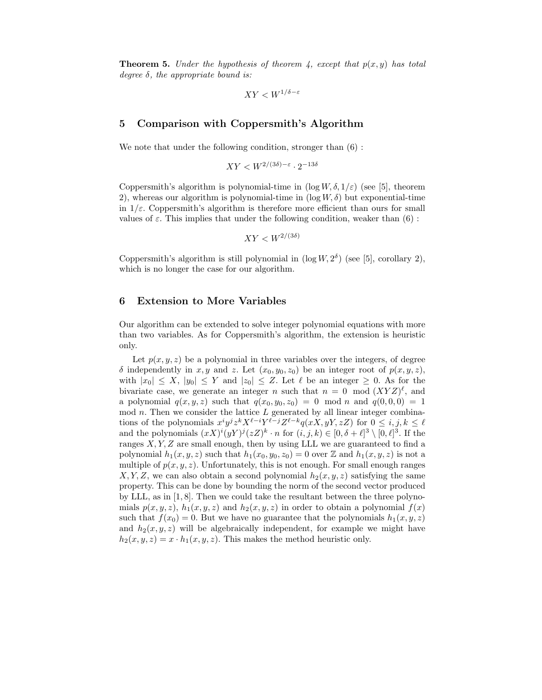**Theorem 5.** Under the hypothesis of theorem 4, except that  $p(x, y)$  has total degree  $\delta$ , the appropriate bound is:

$$
XY
$$

#### 5 Comparison with Coppersmith's Algorithm

We note that under the following condition, stronger than  $(6)$ :

$$
XY < W^{2/(3\delta) - \varepsilon} \cdot 2^{-13\delta}
$$

Coppersmith's algorithm is polynomial-time in  $(\log W, \delta, 1/\varepsilon)$  (see [5], theorem 2), whereas our algorithm is polynomial-time in  $(\log W, \delta)$  but exponential-time in  $1/\varepsilon$ . Coppersmith's algorithm is therefore more efficient than ours for small values of  $\varepsilon$ . This implies that under the following condition, weaker than (6):

$$
XY < W^{2/(3\delta)}
$$

Coppersmith's algorithm is still polynomial in  $(\log W, 2^{\delta})$  (see [5], corollary 2), which is no longer the case for our algorithm.

## 6 Extension to More Variables

Our algorithm can be extended to solve integer polynomial equations with more than two variables. As for Coppersmith's algorithm, the extension is heuristic only.

Let  $p(x, y, z)$  be a polynomial in three variables over the integers, of degree δ independently in x, y and z. Let  $(x_0, y_0, z_0)$  be an integer root of  $p(x, y, z)$ , with  $|x_0| \leq X$ ,  $|y_0| \leq Y$  and  $|z_0| \leq Z$ . Let  $\ell$  be an integer  $\geq 0$ . As for the bivariate case, we generate an integer n such that  $n = 0 \mod (XYZ)^{\ell}$ , and a polynomial  $q(x, y, z)$  such that  $q(x_0, y_0, z_0) = 0 \mod n$  and  $q(0, 0, 0) = 1$ mod  $n$ . Then we consider the lattice  $L$  generated by all linear integer combinations of the polynomials  $x^i y^j z^k X^{\ell-i} Y^{\ell-j} Z^{\ell-k} q(xX, yY, zZ)$  for  $0 \leq i, j, k \leq \ell$ and the polynomials  $(xX)^i(yY)^j(zZ)^k \cdot n$  for  $(i, j, k) \in [0, \delta + \ell]^3 \setminus [0, \ell]^3$ . If the ranges  $X, Y, Z$  are small enough, then by using LLL we are guaranteed to find a polynomial  $h_1(x, y, z)$  such that  $h_1(x_0, y_0, z_0) = 0$  over Z and  $h_1(x, y, z)$  is not a multiple of  $p(x, y, z)$ . Unfortunately, this is not enough. For small enough ranges  $X, Y, Z$ , we can also obtain a second polynomial  $h_2(x, y, z)$  satisfying the same property. This can be done by bounding the norm of the second vector produced by LLL, as in [1, 8]. Then we could take the resultant between the three polynomials  $p(x, y, z)$ ,  $h_1(x, y, z)$  and  $h_2(x, y, z)$  in order to obtain a polynomial  $f(x)$ such that  $f(x_0) = 0$ . But we have no guarantee that the polynomials  $h_1(x, y, z)$ and  $h_2(x, y, z)$  will be algebraically independent, for example we might have  $h_2(x, y, z) = x \cdot h_1(x, y, z)$ . This makes the method heuristic only.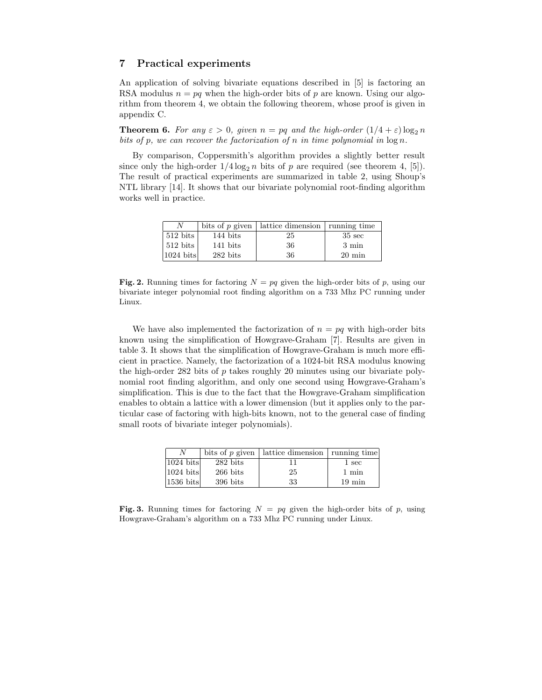### 7 Practical experiments

An application of solving bivariate equations described in [5] is factoring an RSA modulus  $n = pq$  when the high-order bits of p are known. Using our algorithm from theorem 4, we obtain the following theorem, whose proof is given in appendix C.

**Theorem 6.** For any  $\varepsilon > 0$ , given  $n = pq$  and the high-order  $(1/4 + \varepsilon) \log_2 n$ bits of p, we can recover the factorization of n in time polynomial in  $\log n$ .

By comparison, Coppersmith's algorithm provides a slightly better result since only the high-order  $1/4 \log_2 n$  bits of p are required (see theorem 4, [5]). The result of practical experiments are summarized in table 2, using Shoup's NTL library [14]. It shows that our bivariate polynomial root-finding algorithm works well in practice.

|                        |          | bits of p given   lattice dimension   running time |                  |
|------------------------|----------|----------------------------------------------------|------------------|
| $512 \; \text{bits}$   | 144 bits | 25                                                 | $35 \text{ sec}$ |
| $512 \; \mathrm{bits}$ | 141 bits | 36                                                 | 3 min            |
| $1024$ bits            | 282 bits | 36                                                 | $20 \text{ min}$ |

Fig. 2. Running times for factoring  $N = pq$  given the high-order bits of p, using our bivariate integer polynomial root finding algorithm on a 733 Mhz PC running under Linux.

We have also implemented the factorization of  $n = pq$  with high-order bits known using the simplification of Howgrave-Graham [7]. Results are given in table 3. It shows that the simplification of Howgrave-Graham is much more efficient in practice. Namely, the factorization of a 1024-bit RSA modulus knowing the high-order 282 bits of  $p$  takes roughly 20 minutes using our bivariate polynomial root finding algorithm, and only one second using Howgrave-Graham's simplification. This is due to the fact that the Howgrave-Graham simplification enables to obtain a lattice with a lower dimension (but it applies only to the particular case of factoring with high-bits known, not to the general case of finding small roots of bivariate integer polynomials).

|                    |                    | bits of $p$ given   lattice dimension   running time |                  |
|--------------------|--------------------|------------------------------------------------------|------------------|
| $1024$ bits        | $282 \text{ bits}$ |                                                      | 1 sec            |
| $1024$ bits        | $266$ bits         | 25                                                   | 1 min            |
| $1536\;{\rm bits}$ | $396$ bits         | 33                                                   | $19 \text{ min}$ |

Fig. 3. Running times for factoring  $N = pq$  given the high-order bits of p, using Howgrave-Graham's algorithm on a 733 Mhz PC running under Linux.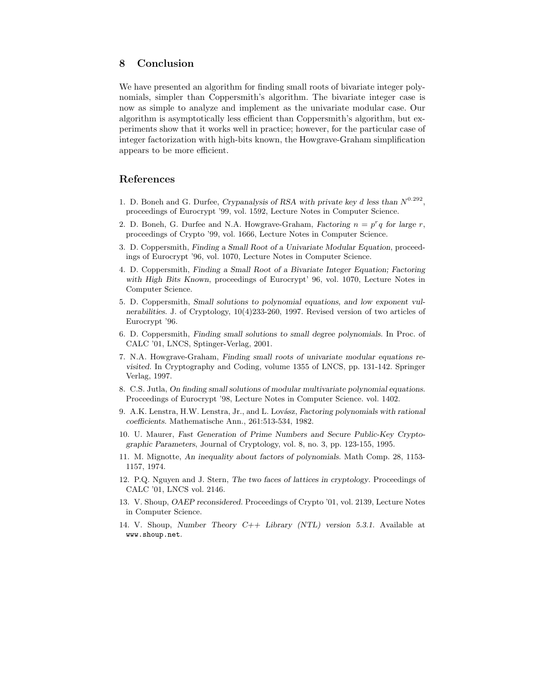# 8 Conclusion

We have presented an algorithm for finding small roots of bivariate integer polynomials, simpler than Coppersmith's algorithm. The bivariate integer case is now as simple to analyze and implement as the univariate modular case. Our algorithm is asymptotically less efficient than Coppersmith's algorithm, but experiments show that it works well in practice; however, for the particular case of integer factorization with high-bits known, the Howgrave-Graham simplification appears to be more efficient.

## References

- 1. D. Boneh and G. Durfee, Crypanalysis of RSA with private key d less than  $N^{0.292}$ , proceedings of Eurocrypt '99, vol. 1592, Lecture Notes in Computer Science.
- 2. D. Boneh, G. Durfee and N.A. Howgrave-Graham, Factoring  $n = p^r q$  for large r, proceedings of Crypto '99, vol. 1666, Lecture Notes in Computer Science.
- 3. D. Coppersmith, Finding a Small Root of a Univariate Modular Equation, proceedings of Eurocrypt '96, vol. 1070, Lecture Notes in Computer Science.
- 4. D. Coppersmith, Finding a Small Root of a Bivariate Integer Equation; Factoring with High Bits Known, proceedings of Eurocrypt' 96, vol. 1070, Lecture Notes in Computer Science.
- 5. D. Coppersmith, Small solutions to polynomial equations, and low exponent vulnerabilities. J. of Cryptology, 10(4)233-260, 1997. Revised version of two articles of Eurocrypt '96.
- 6. D. Coppersmith, Finding small solutions to small degree polynomials. In Proc. of CALC '01, LNCS, Sptinger-Verlag, 2001.
- 7. N.A. Howgrave-Graham, Finding small roots of univariate modular equations revisited. In Cryptography and Coding, volume 1355 of LNCS, pp. 131-142. Springer Verlag, 1997.
- 8. C.S. Jutla, On finding small solutions of modular multivariate polynomial equations. Proceedings of Eurocrypt '98, Lecture Notes in Computer Science. vol. 1402.
- 9. A.K. Lenstra, H.W. Lenstra, Jr., and L. Lovász, Factoring polynomials with rational coefficients. Mathematische Ann., 261:513-534, 1982.
- 10. U. Maurer, Fast Generation of Prime Numbers and Secure Public-Key Cryptographic Parameters, Journal of Cryptology, vol. 8, no. 3, pp. 123-155, 1995.
- 11. M. Mignotte, An inequality about factors of polynomials. Math Comp. 28, 1153- 1157, 1974.
- 12. P.Q. Nguyen and J. Stern, The two faces of lattices in cryptology. Proceedings of CALC '01, LNCS vol. 2146.
- 13. V. Shoup, OAEP reconsidered. Proceedings of Crypto '01, vol. 2139, Lecture Notes in Computer Science.
- 14. V. Shoup, Number Theory C++ Library (NTL) version 5.3.1. Available at www.shoup.net.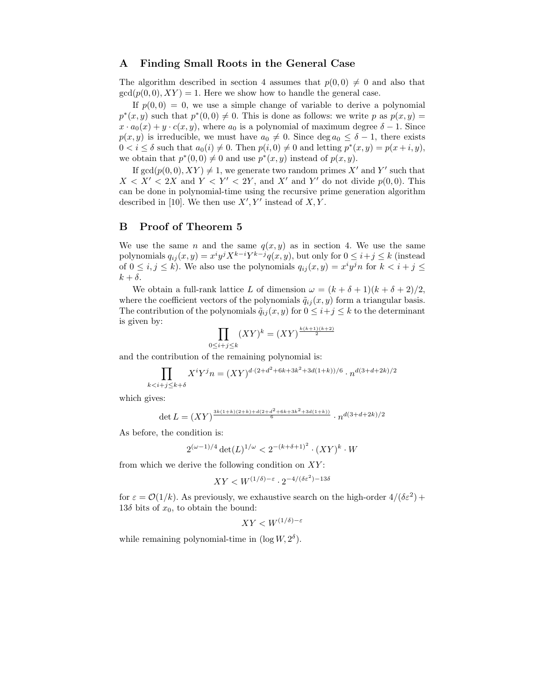## A Finding Small Roots in the General Case

The algorithm described in section 4 assumes that  $p(0, 0) \neq 0$  and also that  $gcd(p(0, 0), XY) = 1$ . Here we show how to handle the general case.

If  $p(0, 0) = 0$ , we use a simple change of variable to derive a polynomial  $p^*(x, y)$  such that  $p^*(0, 0) \neq 0$ . This is done as follows: we write p as  $p(x, y) =$  $x \cdot a_0(x) + y \cdot c(x, y)$ , where  $a_0$  is a polynomial of maximum degree  $\delta - 1$ . Since  $p(x, y)$  is irreducible, we must have  $a_0 \neq 0$ . Since  $\deg a_0 \leq \delta - 1$ , there exists  $0 < i \leq \delta$  such that  $a_0(i) \neq 0$ . Then  $p(i, 0) \neq 0$  and letting  $p^*(x, y) = p(x + i, y)$ , we obtain that  $p^*(0,0) \neq 0$  and use  $p^*(x, y)$  instead of  $p(x, y)$ .

If  $gcd(p(0,0), XY) \neq 1$ , we generate two random primes X' and Y' such that  $X < X' < 2X$  and  $Y < Y' < 2Y$ , and  $X'$  and  $Y'$  do not divide  $p(0,0)$ . This can be done in polynomial-time using the recursive prime generation algorithm described in [10]. We then use  $X', Y'$  instead of  $X, Y$ .

#### B Proof of Theorem 5

We use the same n and the same  $q(x, y)$  as in section 4. We use the same polynomials  $q_{ij}(x, y) = x^i y^j X^{k-i} Y^{k-j} q(x, y)$ , but only for  $0 \le i + j \le k$  (instead of  $0 \leq i, j \leq k$ ). We also use the polynomials  $q_{ij}(x, y) = x^i y^j n$  for  $k < i + j \leq j$  $k + \delta$ .

We obtain a full-rank lattice L of dimension  $\omega = (k + \delta + 1)(k + \delta + 2)/2$ , where the coefficient vectors of the polynomials  $\tilde{q}_{ij}(x, y)$  form a triangular basis. The contribution of the polynomials  $\tilde{q}_{ij}(x, y)$  for  $0 \leq i+j \leq k$  to the determinant is given by:

$$
\prod_{0 \le i+j \le k} (XY)^k = (XY)^{\frac{k(k+1)(k+2)}{2}}
$$

and the contribution of the remaining polynomial is:

$$
\prod_{k < i + j \leq k + \delta} X^i Y^j n = (XY)^{d \cdot (2 + d^2 + 6k + 3k^2 + 3d(1+k))/6} \cdot n^{d(3 + d + 2k)/2}
$$

which gives:

$$
\det L = (XY)^{\frac{3k(1+k)(2+k)+d(2+d^2+6k+3k^2+3d(1+k))}{6}} \cdot n^{d(3+d+2k)/2}
$$

As before, the condition is:

$$
2^{(\omega - 1)/4} \det(L)^{1/\omega} < 2^{-(k + \delta + 1)^2} \cdot (XY)^k \cdot W
$$

from which we derive the following condition on  $XY$ :

$$
XY < W^{(1/\delta)-\varepsilon} \cdot 2^{-4/(\delta \varepsilon^2) - 13\delta}
$$

for  $\varepsilon = \mathcal{O}(1/k)$ . As previously, we exhaustive search on the high-order  $4/(\delta \varepsilon^2)$  + 13 $\delta$  bits of  $x_0$ , to obtain the bound:

$$
XY < W^{(1/\delta) - \varepsilon}
$$

while remaining polynomial-time in  $(\log W, 2^{\delta}).$